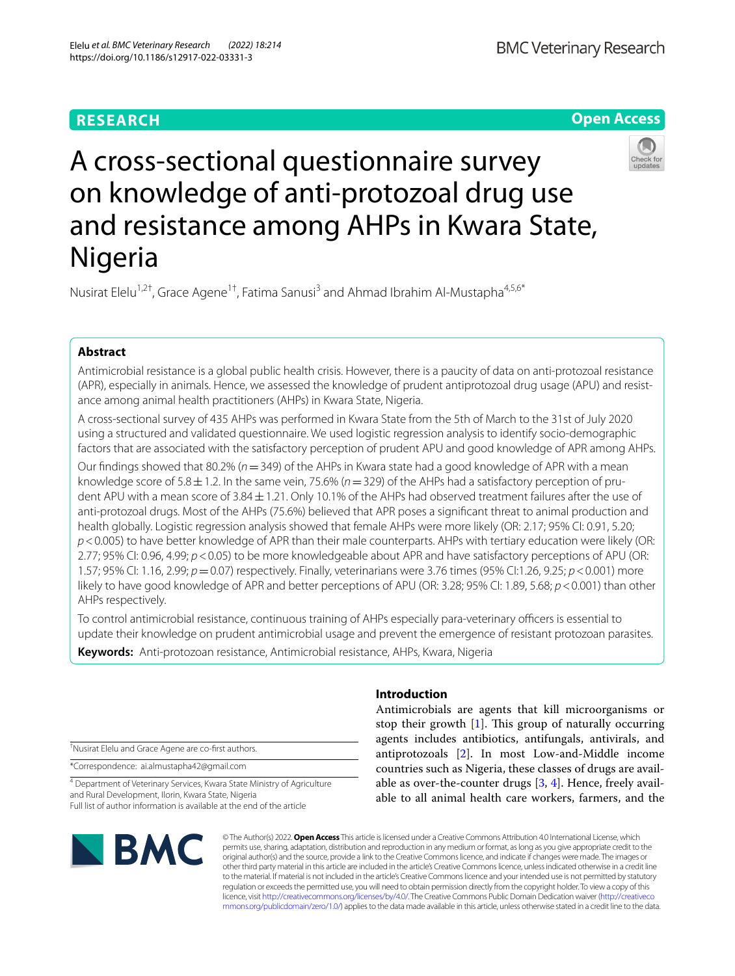# **RESEARCH**

**BMC Veterinary Research** 

**Open Access**

# A cross-sectional questionnaire survey on knowledge of anti-protozoal drug use and resistance among AHPs in Kwara State, Nigeria

Nusirat Elelu<sup>1,2†</sup>, Grace Agene<sup>1†</sup>, Fatima Sanusi<sup>3</sup> and Ahmad Ibrahim Al-Mustapha<sup>4,5,6\*</sup>

# **Abstract**

Antimicrobial resistance is a global public health crisis. However, there is a paucity of data on anti-protozoal resistance (APR), especially in animals. Hence, we assessed the knowledge of prudent antiprotozoal drug usage (APU) and resistance among animal health practitioners (AHPs) in Kwara State, Nigeria.

A cross-sectional survey of 435 AHPs was performed in Kwara State from the 5th of March to the 31st of July 2020 using a structured and validated questionnaire. We used logistic regression analysis to identify socio-demographic factors that are associated with the satisfactory perception of prudent APU and good knowledge of APR among AHPs.

Our fndings showed that 80.2% (*n*=349) of the AHPs in Kwara state had a good knowledge of APR with a mean knowledge score of 5.8 $\pm$ 1.2. In the same vein, 75.6% ( $n=329$ ) of the AHPs had a satisfactory perception of prudent APU with a mean score of 3.84 ± 1.21. Only 10.1% of the AHPs had observed treatment failures after the use of anti-protozoal drugs. Most of the AHPs (75.6%) believed that APR poses a signifcant threat to animal production and health globally. Logistic regression analysis showed that female AHPs were more likely (OR: 2.17; 95% CI: 0.91, 5.20; *p*<0.005) to have better knowledge of APR than their male counterparts. AHPs with tertiary education were likely (OR: 2.77; 95% CI: 0.96, 4.99; *p*<0.05) to be more knowledgeable about APR and have satisfactory perceptions of APU (OR: 1.57; 95% CI: 1.16, 2.99; *p*=0.07) respectively. Finally, veterinarians were 3.76 times (95% CI:1.26, 9.25; *p*<0.001) more likely to have good knowledge of APR and better perceptions of APU (OR: 3.28; 95% CI: 1.89, 5.68; *p*<0.001) than other AHPs respectively.

To control antimicrobial resistance, continuous training of AHPs especially para-veterinary officers is essential to update their knowledge on prudent antimicrobial usage and prevent the emergence of resistant protozoan parasites.

**Keywords:** Anti-protozoan resistance, Antimicrobial resistance, AHPs, Kwara, Nigeria

† Nusirat Elelu and Grace Agene are co-frst authors.

\*Correspondence: ai.almustapha42@gmail.com

4 Department of Veterinary Services, Kwara State Ministry of Agriculture and Rural Development, Ilorin, Kwara State, Nigeria Full list of author information is available at the end of the article

# **BMC**

# **Introduction**

Antimicrobials are agents that kill microorganisms or stop their growth  $[1]$  $[1]$ . This group of naturally occurring agents includes antibiotics, antifungals, antivirals, and antiprotozoals [[2\]](#page-6-1). In most Low-and-Middle income countries such as Nigeria, these classes of drugs are available as over-the-counter drugs [[3,](#page-6-2) [4](#page-6-3)]. Hence, freely available to all animal health care workers, farmers, and the

© The Author(s) 2022. **Open Access** This article is licensed under a Creative Commons Attribution 4.0 International License, which permits use, sharing, adaptation, distribution and reproduction in any medium or format, as long as you give appropriate credit to the original author(s) and the source, provide a link to the Creative Commons licence, and indicate if changes were made. The images or other third party material in this article are included in the article's Creative Commons licence, unless indicated otherwise in a credit line to the material. If material is not included in the article's Creative Commons licence and your intended use is not permitted by statutory regulation or exceeds the permitted use, you will need to obtain permission directly from the copyright holder. To view a copy of this licence, visit [http://creativecommons.org/licenses/by/4.0/.](http://creativecommons.org/licenses/by/4.0/) The Creative Commons Public Domain Dedication waiver ([http://creativeco](http://creativecommons.org/publicdomain/zero/1.0/) [mmons.org/publicdomain/zero/1.0/](http://creativecommons.org/publicdomain/zero/1.0/)) applies to the data made available in this article, unless otherwise stated in a credit line to the data.

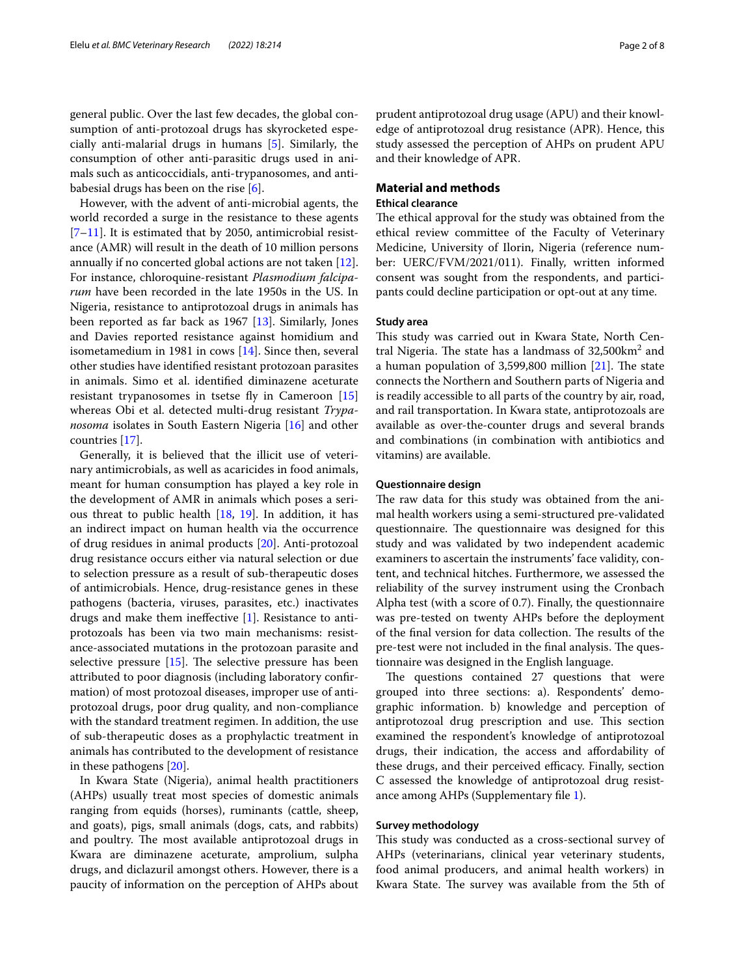However, with the advent of anti-microbial agents, the world recorded a surge in the resistance to these agents [[7–](#page-6-6)[11\]](#page-7-0). It is estimated that by 2050, antimicrobial resistance (AMR) will result in the death of 10 million persons annually if no concerted global actions are not taken [\[12](#page-7-1)]. For instance, chloroquine-resistant *Plasmodium falciparum* have been recorded in the late 1950s in the US. In Nigeria, resistance to antiprotozoal drugs in animals has been reported as far back as 1967 [[13\]](#page-7-2). Similarly, Jones and Davies reported resistance against homidium and isometamedium in 1981 in cows [\[14](#page-7-3)]. Since then, several other studies have identifed resistant protozoan parasites in animals. Simo et al. identifed diminazene aceturate resistant trypanosomes in tsetse fly in Cameroon [[15](#page-7-4)] whereas Obi et al. detected multi-drug resistant *Trypanosoma* isolates in South Eastern Nigeria [\[16\]](#page-7-5) and other countries [\[17](#page-7-6)].

Generally, it is believed that the illicit use of veterinary antimicrobials, as well as acaricides in food animals, meant for human consumption has played a key role in the development of AMR in animals which poses a serious threat to public health [\[18](#page-7-7), [19](#page-7-8)]. In addition, it has an indirect impact on human health via the occurrence of drug residues in animal products [\[20](#page-7-9)]. Anti-protozoal drug resistance occurs either via natural selection or due to selection pressure as a result of sub-therapeutic doses of antimicrobials. Hence, drug-resistance genes in these pathogens (bacteria, viruses, parasites, etc.) inactivates drugs and make them inefective [[1\]](#page-6-0). Resistance to antiprotozoals has been via two main mechanisms: resistance-associated mutations in the protozoan parasite and selective pressure  $[15]$ . The selective pressure has been attributed to poor diagnosis (including laboratory confrmation) of most protozoal diseases, improper use of antiprotozoal drugs, poor drug quality, and non-compliance with the standard treatment regimen. In addition, the use of sub-therapeutic doses as a prophylactic treatment in animals has contributed to the development of resistance in these pathogens [\[20](#page-7-9)].

In Kwara State (Nigeria), animal health practitioners (AHPs) usually treat most species of domestic animals ranging from equids (horses), ruminants (cattle, sheep, and goats), pigs, small animals (dogs, cats, and rabbits) and poultry. The most available antiprotozoal drugs in Kwara are diminazene aceturate, amprolium, sulpha drugs, and diclazuril amongst others. However, there is a paucity of information on the perception of AHPs about prudent antiprotozoal drug usage (APU) and their knowledge of antiprotozoal drug resistance (APR). Hence, this study assessed the perception of AHPs on prudent APU and their knowledge of APR.

#### **Material and methods**

#### **Ethical clearance**

The ethical approval for the study was obtained from the ethical review committee of the Faculty of Veterinary Medicine, University of Ilorin, Nigeria (reference number: UERC/FVM/2021/011). Finally, written informed consent was sought from the respondents, and participants could decline participation or opt-out at any time.

# **Study area**

This study was carried out in Kwara State, North Central Nigeria. The state has a landmass of  $32,500 \text{km}^2$  and a human population of  $3,599,800$  million  $[21]$ . The state connects the Northern and Southern parts of Nigeria and is readily accessible to all parts of the country by air, road, and rail transportation. In Kwara state, antiprotozoals are available as over-the-counter drugs and several brands and combinations (in combination with antibiotics and vitamins) are available.

#### **Questionnaire design**

The raw data for this study was obtained from the animal health workers using a semi-structured pre-validated questionnaire. The questionnaire was designed for this study and was validated by two independent academic examiners to ascertain the instruments' face validity, content, and technical hitches. Furthermore, we assessed the reliability of the survey instrument using the Cronbach Alpha test (with a score of 0.7). Finally, the questionnaire was pre-tested on twenty AHPs before the deployment of the final version for data collection. The results of the pre-test were not included in the final analysis. The questionnaire was designed in the English language.

The questions contained 27 questions that were grouped into three sections: a). Respondents' demographic information. b) knowledge and perception of antiprotozoal drug prescription and use. This section examined the respondent's knowledge of antiprotozoal drugs, their indication, the access and affordability of these drugs, and their perceived efficacy. Finally, section C assessed the knowledge of antiprotozoal drug resistance among AHPs (Supplementary fle [1\)](#page-6-7).

#### **Survey methodology**

This study was conducted as a cross-sectional survey of AHPs (veterinarians, clinical year veterinary students, food animal producers, and animal health workers) in Kwara State. The survey was available from the 5th of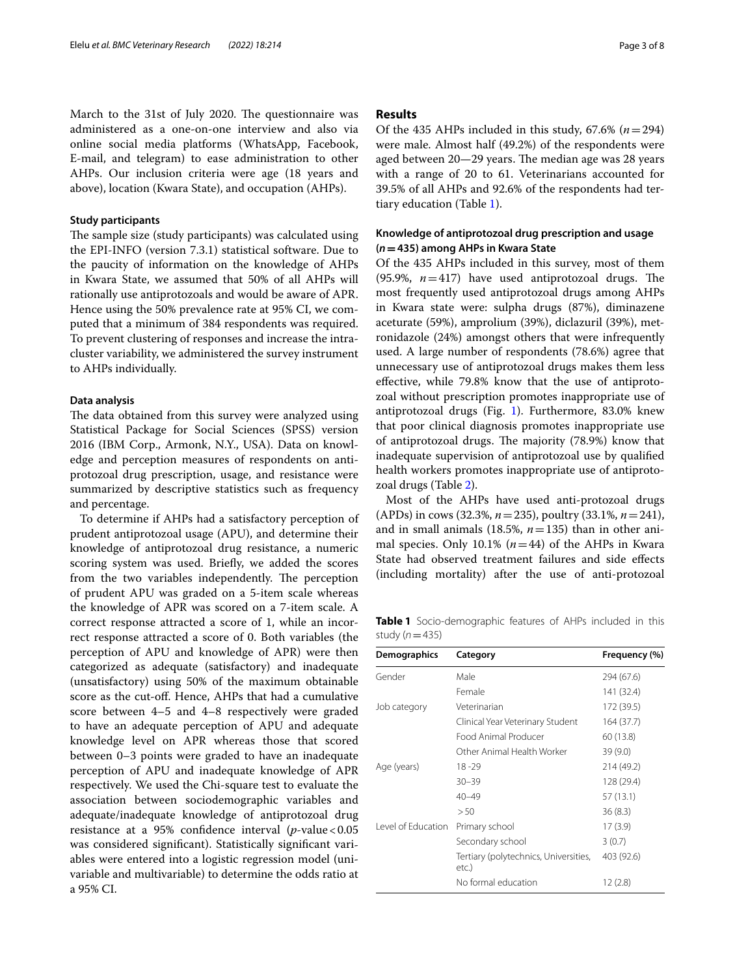March to the 31st of July 2020. The questionnaire was administered as a one-on-one interview and also via online social media platforms (WhatsApp, Facebook, E-mail, and telegram) to ease administration to other AHPs. Our inclusion criteria were age (18 years and above), location (Kwara State), and occupation (AHPs).

#### **Study participants**

The sample size (study participants) was calculated using the EPI-INFO (version 7.3.1) statistical software. Due to the paucity of information on the knowledge of AHPs in Kwara State, we assumed that 50% of all AHPs will rationally use antiprotozoals and would be aware of APR. Hence using the 50% prevalence rate at 95% CI, we computed that a minimum of 384 respondents was required. To prevent clustering of responses and increase the intracluster variability, we administered the survey instrument to AHPs individually.

#### **Data analysis**

The data obtained from this survey were analyzed using Statistical Package for Social Sciences (SPSS) version 2016 (IBM Corp., Armonk, N.Y., USA). Data on knowledge and perception measures of respondents on antiprotozoal drug prescription, usage, and resistance were summarized by descriptive statistics such as frequency and percentage.

To determine if AHPs had a satisfactory perception of prudent antiprotozoal usage (APU), and determine their knowledge of antiprotozoal drug resistance, a numeric scoring system was used. Briefy, we added the scores from the two variables independently. The perception of prudent APU was graded on a 5-item scale whereas the knowledge of APR was scored on a 7-item scale. A correct response attracted a score of 1, while an incorrect response attracted a score of 0. Both variables (the perception of APU and knowledge of APR) were then categorized as adequate (satisfactory) and inadequate (unsatisfactory) using 50% of the maximum obtainable score as the cut-off. Hence, AHPs that had a cumulative score between 4–5 and 4–8 respectively were graded to have an adequate perception of APU and adequate knowledge level on APR whereas those that scored between 0–3 points were graded to have an inadequate perception of APU and inadequate knowledge of APR respectively. We used the Chi-square test to evaluate the association between sociodemographic variables and adequate/inadequate knowledge of antiprotozoal drug resistance at a 95% confidence interval  $(p$ -value < 0.05 was considered signifcant). Statistically signifcant variables were entered into a logistic regression model (univariable and multivariable) to determine the odds ratio at a 95% CI.

#### **Results**

Of the 435 AHPs included in this study,  $67.6\%$  ( $n=294$ ) were male. Almost half (49.2%) of the respondents were aged between 20–29 years. The median age was 28 years with a range of 20 to 61. Veterinarians accounted for 39.5% of all AHPs and 92.6% of the respondents had tertiary education (Table [1\)](#page-2-0).

# **Knowledge of antiprotozoal drug prescription and usage (***n***=435) among AHPs in Kwara State**

Of the 435 AHPs included in this survey, most of them (95.9%,  $n=417$ ) have used antiprotozoal drugs. The most frequently used antiprotozoal drugs among AHPs in Kwara state were: sulpha drugs (87%), diminazene aceturate (59%), amprolium (39%), diclazuril (39%), metronidazole (24%) amongst others that were infrequently used. A large number of respondents (78.6%) agree that unnecessary use of antiprotozoal drugs makes them less efective, while 79.8% know that the use of antiprotozoal without prescription promotes inappropriate use of antiprotozoal drugs (Fig. [1\)](#page-3-0). Furthermore, 83.0% knew that poor clinical diagnosis promotes inappropriate use of antiprotozoal drugs. The majority (78.9%) know that inadequate supervision of antiprotozoal use by qualifed health workers promotes inappropriate use of antiprotozoal drugs (Table [2\)](#page-3-1).

Most of the AHPs have used anti-protozoal drugs (APDs) in cows (32.3%, *n*=235), poultry (33.1%, *n*=241), and in small animals (18.5%, *n*=135) than in other animal species. Only 10.1%  $(n=44)$  of the AHPs in Kwara State had observed treatment failures and side efects (including mortality) after the use of anti-protozoal

<span id="page-2-0"></span>**Table 1** Socio-demographic features of AHPs included in this study  $(n=435)$ 

| <b>Demographics</b> | Category                                       | Frequency (%) |
|---------------------|------------------------------------------------|---------------|
| Gender              | Male                                           | 294 (67.6)    |
|                     | Female                                         | 141 (32.4)    |
| Job category        | Veterinarian                                   | 172 (39.5)    |
|                     | Clinical Year Veterinary Student               | 164(37.7)     |
|                     | Food Animal Producer                           | 60 (13.8)     |
|                     | Other Animal Health Worker                     | 39 (9.0)      |
| Age (years)         | 18-29                                          | 214 (49.2)    |
|                     | $30 - 39$                                      | 128 (29.4)    |
|                     | $40 - 49$                                      | 57 (13.1)     |
|                     | > 50                                           | 36(8.3)       |
| Level of Education  | Primary school                                 | 17(3.9)       |
|                     | Secondary school                               | 3(0.7)        |
|                     | Tertiary (polytechnics, Universities,<br>etc.) | 403 (92.6)    |
|                     | No formal education                            | 12(2.8)       |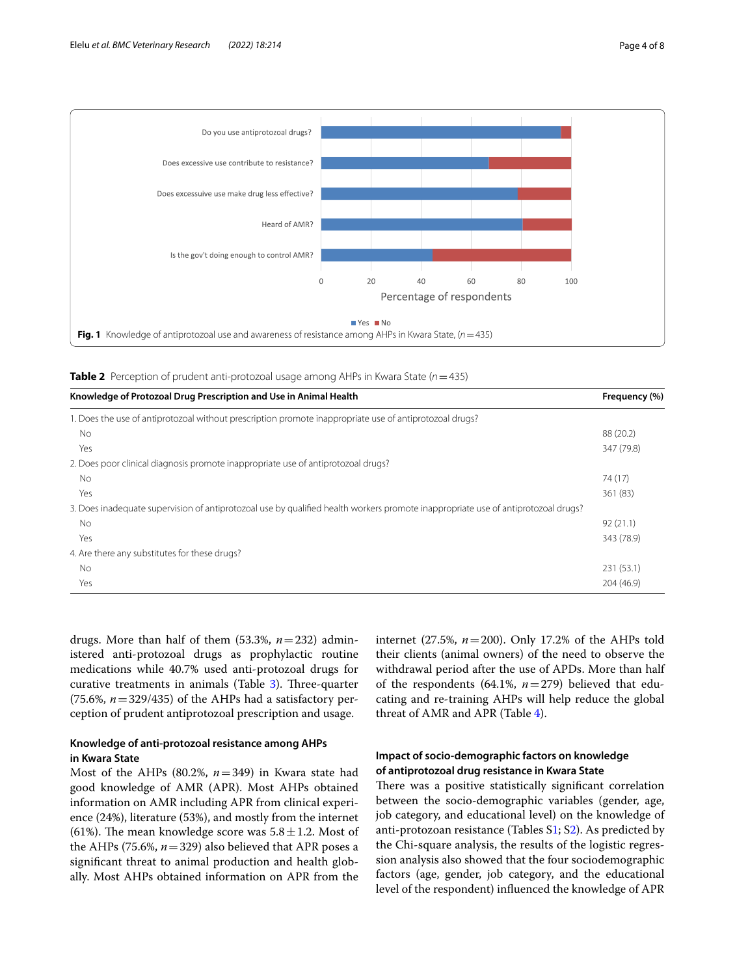



<span id="page-3-1"></span><span id="page-3-0"></span>**Table 2** Perception of prudent anti-protozoal usage among AHPs in Kwara State (*n*=435)

| Knowledge of Protozoal Drug Prescription and Use in Animal Health                                                                 | Frequency (%) |
|-----------------------------------------------------------------------------------------------------------------------------------|---------------|
| 1. Does the use of antiprotozoal without prescription promote inappropriate use of antiprotozoal drugs?                           |               |
| No.                                                                                                                               | 88 (20.2)     |
| Yes                                                                                                                               | 347 (79.8)    |
| 2. Does poor clinical diagnosis promote inappropriate use of antiprotozoal drugs?                                                 |               |
| No.                                                                                                                               | 74 (17)       |
| Yes                                                                                                                               | 361 (83)      |
| 3. Does inadequate supervision of antiprotozoal use by qualified health workers promote inappropriate use of antiprotozoal drugs? |               |
| No.                                                                                                                               | 92(21.1)      |
| Yes                                                                                                                               | 343 (78.9)    |
| 4. Are there any substitutes for these drugs?                                                                                     |               |
| No.                                                                                                                               | 231 (53.1)    |
| Yes                                                                                                                               | 204 (46.9)    |

drugs. More than half of them (53.3%, *n*=232) administered anti-protozoal drugs as prophylactic routine medications while 40.7% used anti-protozoal drugs for curative treatments in animals (Table [3\)](#page-4-0). Three-quarter (75.6%,  $n = 329/435$ ) of the AHPs had a satisfactory perception of prudent antiprotozoal prescription and usage.

## **Knowledge of anti‑protozoal resistance among AHPs in Kwara State**

Most of the AHPs (80.2%, *n*=349) in Kwara state had good knowledge of AMR (APR). Most AHPs obtained information on AMR including APR from clinical experience (24%), literature (53%), and mostly from the internet (61%). The mean knowledge score was  $5.8 \pm 1.2$ . Most of the AHPs (75.6%, *n*=329) also believed that APR poses a signifcant threat to animal production and health globally. Most AHPs obtained information on APR from the internet (27.5%, *n*=200). Only 17.2% of the AHPs told their clients (animal owners) of the need to observe the withdrawal period after the use of APDs. More than half of the respondents (64.1%, *n*=279) believed that educating and re-training AHPs will help reduce the global threat of AMR and APR (Table [4\)](#page-4-1).

# **Impact of socio‑demographic factors on knowledge of antiprotozoal drug resistance in Kwara State**

There was a positive statistically significant correlation between the socio-demographic variables (gender, age, job category, and educational level) on the knowledge of anti-protozoan resistance (Tables S[1;](#page-6-8) [S2\)](#page-6-8). As predicted by the Chi-square analysis, the results of the logistic regression analysis also showed that the four sociodemographic factors (age, gender, job category, and the educational level of the respondent) infuenced the knowledge of APR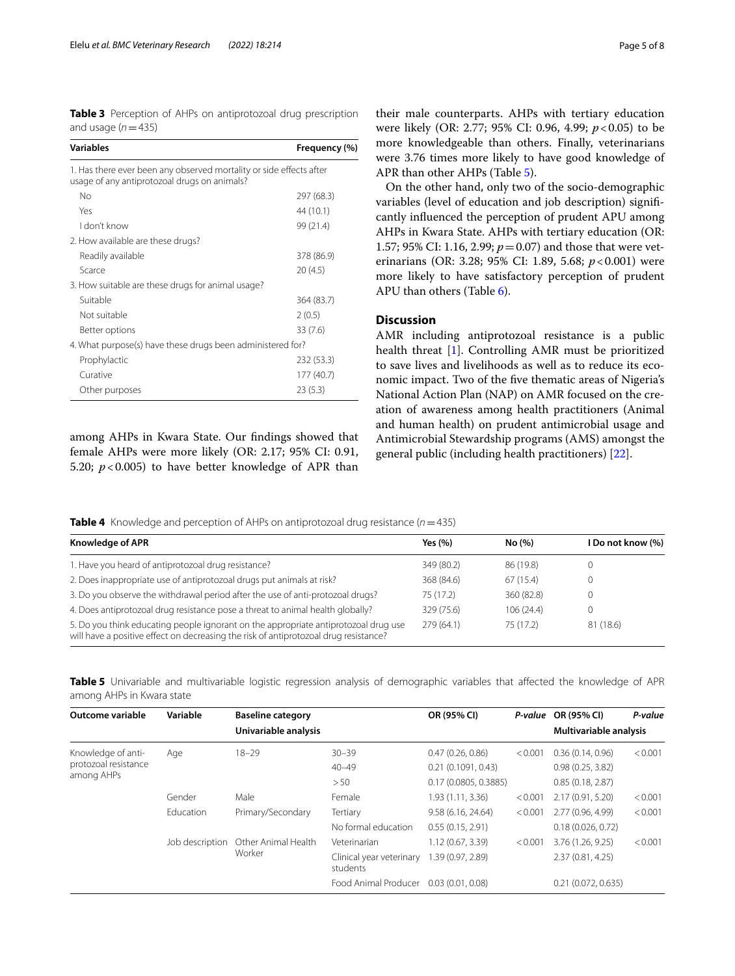<span id="page-4-0"></span>

|                     |  | <b>Table 3</b> Perception of AHPs on antiprotozoal drug prescription |  |
|---------------------|--|----------------------------------------------------------------------|--|
| and usage $(n=435)$ |  |                                                                      |  |

| <b>Variables</b>                                                                                                    | Frequency (%) |
|---------------------------------------------------------------------------------------------------------------------|---------------|
| 1. Has there ever been any observed mortality or side effects after<br>usage of any antiprotozoal drugs on animals? |               |
| No                                                                                                                  | 297 (68.3)    |
| Yes                                                                                                                 | 44 (10.1)     |
| I don't know                                                                                                        | 99 (21.4)     |
| 2. How available are these drugs?                                                                                   |               |
| Readily available                                                                                                   | 378 (86.9)    |
| Scarce                                                                                                              | 20(4.5)       |
| 3. How suitable are these drugs for animal usage?                                                                   |               |
| Suitable                                                                                                            | 364 (83.7)    |
| Not suitable                                                                                                        | 2(0.5)        |
| Better options                                                                                                      | 33 (7.6)      |
| 4. What purpose(s) have these drugs been administered for?                                                          |               |
| Prophylactic                                                                                                        | 232 (53.3)    |
| Curative                                                                                                            | 177 (40.7)    |
| Other purposes                                                                                                      | 23(5.3)       |

among AHPs in Kwara State. Our fndings showed that female AHPs were more likely (OR: 2.17; 95% CI: 0.91, 5.20;  $p < 0.005$ ) to have better knowledge of APR than their male counterparts. AHPs with tertiary education were likely (OR: 2.77; 95% CI: 0.96, 4.99; *p*<0.05) to be more knowledgeable than others. Finally, veterinarians were 3.76 times more likely to have good knowledge of APR than other AHPs (Table [5\)](#page-4-2).

On the other hand, only two of the socio-demographic variables (level of education and job description) signifcantly infuenced the perception of prudent APU among AHPs in Kwara State. AHPs with tertiary education (OR: 1.57; 95% CI: 1.16, 2.99; *p*=0.07) and those that were veterinarians (OR: 3.28; 95% CI: 1.89, 5.68; *p*<0.001) were more likely to have satisfactory perception of prudent APU than others (Table [6\)](#page-5-0).

#### **Discussion**

AMR including antiprotozoal resistance is a public health threat [[1](#page-6-0)]. Controlling AMR must be prioritized to save lives and livelihoods as well as to reduce its economic impact. Two of the fve thematic areas of Nigeria's National Action Plan (NAP) on AMR focused on the creation of awareness among health practitioners (Animal and human health) on prudent antimicrobial usage and Antimicrobial Stewardship programs (AMS) amongst the general public (including health practitioners) [\[22](#page-7-11)].

<span id="page-4-1"></span>**Table 4** Knowledge and perception of AHPs on antiprotozoal drug resistance (*n*=435)

| <b>Knowledge of APR</b>                                                                                                                                                     | Yes $(%)$  | No (%)     | I Do not know (%) |
|-----------------------------------------------------------------------------------------------------------------------------------------------------------------------------|------------|------------|-------------------|
| 1. Have you heard of antiprotozoal drug resistance?                                                                                                                         | 349 (80.2) | 86 (19.8)  | $^{()}$           |
| 2. Does inappropriate use of antiprotozoal drugs put animals at risk?                                                                                                       | 368 (84.6) | 67(15.4)   |                   |
| 3. Do you observe the withdrawal period after the use of anti-protozoal drugs?                                                                                              | 75 (17.2)  | 360 (82.8) |                   |
| 4. Does antiprotozoal drug resistance pose a threat to animal health globally?                                                                                              | 329 (75.6) | 106(24.4)  | 0                 |
| 5. Do you think educating people ignorant on the appropriate antiprotozoal drug use<br>will have a positive effect on decreasing the risk of antiprotozoal drug resistance? | 279 (64.1) | 75(17.2)   | 81 (18.6)         |

<span id="page-4-2"></span>**Table 5** Univariable and multivariable logistic regression analysis of demographic variables that affected the knowledge of APR among AHPs in Kwara state

| Outcome variable                                         | Variable        | <b>Baseline category</b>      |                                      | OR (95% CI)          | P-value | OR (95% CI)            | P-value |
|----------------------------------------------------------|-----------------|-------------------------------|--------------------------------------|----------------------|---------|------------------------|---------|
|                                                          |                 | Univariable analysis          |                                      |                      |         | Multivariable analysis |         |
| Knowledge of anti-<br>protozoal resistance<br>among AHPs | Age             | $18 - 29$                     | $30 - 39$                            | 0.47(0.26, 0.86)     | < 0.001 | 0.36(0.14, 0.96)       | < 0.001 |
|                                                          |                 |                               | $40 - 49$                            | 0.21(0.1091, 0.43)   |         | 0.98(0.25, 3.82)       |         |
|                                                          |                 |                               | >50                                  | 0.17(0.0805, 0.3885) |         | 0.85(0.18, 2.87)       |         |
|                                                          | Gender          | Male                          | Female                               | 1.93(1.11, 3.36)     | < 0.001 | 2.17(0.91, 5.20)       | < 0.001 |
|                                                          | Education       | Primary/Secondary             | Tertiary                             | 9.58 (6.16, 24.64)   | < 0.001 | 2.77 (0.96, 4.99)      | < 0.001 |
|                                                          |                 |                               | No formal education                  | 0.55(0.15, 2.91)     |         | 0.18(0.026, 0.72)      |         |
|                                                          | Job description | Other Animal Health<br>Worker | Veterinarian                         | 1.12(0.67, 3.39)     | < 0.001 | 3.76 (1.26, 9.25)      | < 0.001 |
|                                                          |                 |                               | Clinical year veterinary<br>students | 1.39 (0.97, 2.89)    |         | 2.37(0.81, 4.25)       |         |
|                                                          |                 |                               | Food Animal Producer                 | 0.03(0.01, 0.08)     |         | 0.21(0.072, 0.635)     |         |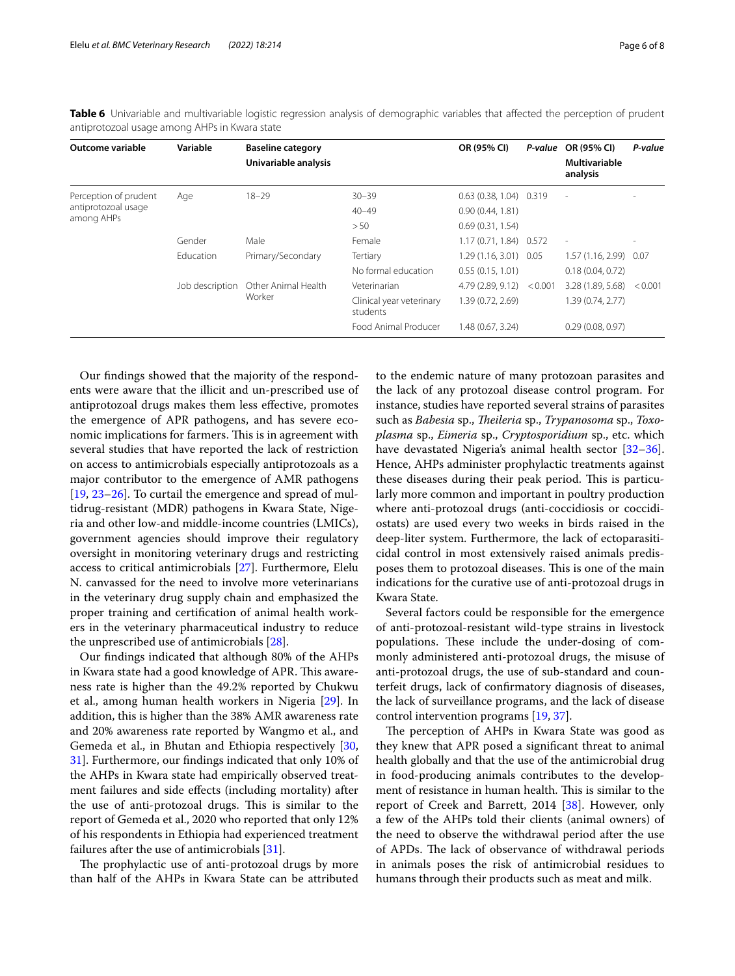| Outcome variable                                           | Variable        | <b>Baseline category</b><br>Univariable analysis |                                      | OR (95% CI)                |         | $P$ -value OR (95% CI)<br><b>Multivariable</b><br>analysis | P-value |
|------------------------------------------------------------|-----------------|--------------------------------------------------|--------------------------------------|----------------------------|---------|------------------------------------------------------------|---------|
| Perception of prudent<br>antiprotozoal usage<br>among AHPs | Age             | $18 - 29$                                        | $30 - 39$                            | $0.63(0.38, 1.04)$ $0.319$ |         | $\overline{\phantom{a}}$                                   |         |
|                                                            |                 |                                                  | $40 - 49$                            | 0.90(0.44, 1.81)           |         |                                                            |         |
|                                                            |                 |                                                  | > 50                                 | 0.69(0.31, 1.54)           |         |                                                            |         |
|                                                            | Gender          | Male                                             | Female                               | 1.17 (0.71, 1.84) 0.572    |         | $\overline{\phantom{a}}$                                   |         |
|                                                            | Education       | Primary/Secondary                                | Tertiary                             | $1.29(1.16, 3.01)$ 0.05    |         | 1.57 (1.16, 2.99)                                          | 0.07    |
|                                                            |                 |                                                  | No formal education                  | 0.55(0.15, 1.01)           |         | 0.18(0.04, 0.72)                                           |         |
|                                                            | Job description | Other Animal Health<br>Worker                    | Veterinarian                         | 4.79 (2.89, 9.12)          | < 0.001 | 3.28 (1.89, 5.68)                                          | < 0.001 |
|                                                            |                 |                                                  | Clinical year veterinary<br>students | 1.39 (0.72, 2.69)          |         | 1.39 (0.74, 2.77)                                          |         |
|                                                            |                 |                                                  | Food Animal Producer                 | 1.48 (0.67, 3.24)          |         | 0.29(0.08, 0.97)                                           |         |

<span id="page-5-0"></span>**Table 6** Univariable and multivariable logistic regression analysis of demographic variables that affected the perception of prudent antiprotozoal usage among AHPs in Kwara state

Our fndings showed that the majority of the respondents were aware that the illicit and un-prescribed use of antiprotozoal drugs makes them less efective, promotes the emergence of APR pathogens, and has severe economic implications for farmers. This is in agreement with several studies that have reported the lack of restriction on access to antimicrobials especially antiprotozoals as a major contributor to the emergence of AMR pathogens  $[19, 23-26]$  $[19, 23-26]$  $[19, 23-26]$  $[19, 23-26]$  $[19, 23-26]$ . To curtail the emergence and spread of multidrug-resistant (MDR) pathogens in Kwara State, Nigeria and other low-and middle-income countries (LMICs), government agencies should improve their regulatory oversight in monitoring veterinary drugs and restricting access to critical antimicrobials [[27](#page-7-14)]. Furthermore, Elelu N. canvassed for the need to involve more veterinarians in the veterinary drug supply chain and emphasized the proper training and certifcation of animal health workers in the veterinary pharmaceutical industry to reduce the unprescribed use of antimicrobials [[28\]](#page-7-15).

Our fndings indicated that although 80% of the AHPs in Kwara state had a good knowledge of APR. This awareness rate is higher than the 49.2% reported by Chukwu et al., among human health workers in Nigeria [[29\]](#page-7-16). In addition, this is higher than the 38% AMR awareness rate and 20% awareness rate reported by Wangmo et al., and Gemeda et al., in Bhutan and Ethiopia respectively [\[30](#page-7-17), [31\]](#page-7-18). Furthermore, our fndings indicated that only 10% of the AHPs in Kwara state had empirically observed treatment failures and side efects (including mortality) after the use of anti-protozoal drugs. This is similar to the report of Gemeda et al., 2020 who reported that only 12% of his respondents in Ethiopia had experienced treatment failures after the use of antimicrobials [\[31\]](#page-7-18).

The prophylactic use of anti-protozoal drugs by more than half of the AHPs in Kwara State can be attributed to the endemic nature of many protozoan parasites and the lack of any protozoal disease control program. For instance, studies have reported several strains of parasites such as *Babesia* sp., *Teileria* sp., *Trypanosoma* sp., *Toxoplasma* sp., *Eimeria* sp., *Cryptosporidium* sp., etc. which have devastated Nigeria's animal health sector [[32](#page-7-19)[–36](#page-7-20)]. Hence, AHPs administer prophylactic treatments against these diseases during their peak period. This is particularly more common and important in poultry production where anti-protozoal drugs (anti-coccidiosis or coccidiostats) are used every two weeks in birds raised in the deep-liter system. Furthermore, the lack of ectoparasiticidal control in most extensively raised animals predisposes them to protozoal diseases. This is one of the main indications for the curative use of anti-protozoal drugs in Kwara State.

Several factors could be responsible for the emergence of anti-protozoal-resistant wild-type strains in livestock populations. These include the under-dosing of commonly administered anti-protozoal drugs, the misuse of anti-protozoal drugs, the use of sub-standard and counterfeit drugs, lack of confrmatory diagnosis of diseases, the lack of surveillance programs, and the lack of disease control intervention programs [\[19,](#page-7-8) [37](#page-7-21)].

The perception of AHPs in Kwara State was good as they knew that APR posed a signifcant threat to animal health globally and that the use of the antimicrobial drug in food-producing animals contributes to the development of resistance in human health. This is similar to the report of Creek and Barrett, 2014 [\[38](#page-7-22)]. However, only a few of the AHPs told their clients (animal owners) of the need to observe the withdrawal period after the use of APDs. The lack of observance of withdrawal periods in animals poses the risk of antimicrobial residues to humans through their products such as meat and milk.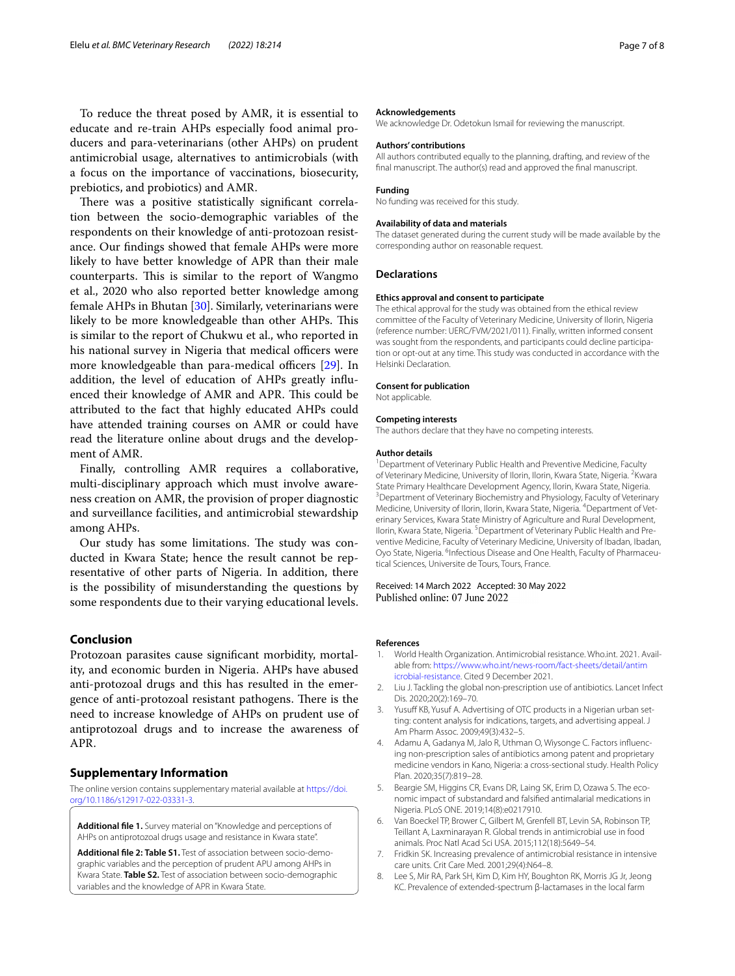To reduce the threat posed by AMR, it is essential to educate and re-train AHPs especially food animal producers and para-veterinarians (other AHPs) on prudent antimicrobial usage, alternatives to antimicrobials (with a focus on the importance of vaccinations, biosecurity, prebiotics, and probiotics) and AMR.

There was a positive statistically significant correlation between the socio-demographic variables of the respondents on their knowledge of anti-protozoan resistance. Our fndings showed that female AHPs were more likely to have better knowledge of APR than their male counterparts. This is similar to the report of Wangmo et al., 2020 who also reported better knowledge among female AHPs in Bhutan [[30](#page-7-17)]. Similarly, veterinarians were likely to be more knowledgeable than other AHPs. This is similar to the report of Chukwu et al., who reported in his national survey in Nigeria that medical officers were more knowledgeable than para-medical officers  $[29]$  $[29]$ . In addition, the level of education of AHPs greatly infuenced their knowledge of AMR and APR. This could be attributed to the fact that highly educated AHPs could have attended training courses on AMR or could have read the literature online about drugs and the development of AMR.

Finally, controlling AMR requires a collaborative, multi-disciplinary approach which must involve awareness creation on AMR, the provision of proper diagnostic and surveillance facilities, and antimicrobial stewardship among AHPs.

Our study has some limitations. The study was conducted in Kwara State; hence the result cannot be representative of other parts of Nigeria. In addition, there is the possibility of misunderstanding the questions by some respondents due to their varying educational levels.

#### **Conclusion**

Protozoan parasites cause signifcant morbidity, mortality, and economic burden in Nigeria. AHPs have abused anti-protozoal drugs and this has resulted in the emergence of anti-protozoal resistant pathogens. There is the need to increase knowledge of AHPs on prudent use of antiprotozoal drugs and to increase the awareness of APR.

#### **Supplementary Information**

The online version contains supplementary material available at [https://doi.](https://doi.org/10.1186/s12917-022-03331-3) [org/10.1186/s12917-022-03331-3](https://doi.org/10.1186/s12917-022-03331-3).

<span id="page-6-8"></span><span id="page-6-7"></span>**Additional fle 1.** Survey material on "Knowledge and perceptions of AHPs on antiprotozoal drugs usage and resistance in Kwara state".

**Additional fle 2: Table S1.** Test of association between socio-demo‑ graphic variables and the perception of prudent APU among AHPs in Kwara State. **Table S2.** Test of association between socio-demographic variables and the knowledge of APR in Kwara State.

#### **Acknowledgements**

We acknowledge Dr. Odetokun Ismail for reviewing the manuscript.

#### **Authors' contributions**

All authors contributed equally to the planning, drafting, and review of the fnal manuscript. The author(s) read and approved the fnal manuscript.

#### **Funding**

No funding was received for this study.

#### **Availability of data and materials**

The dataset generated during the current study will be made available by the corresponding author on reasonable request.

#### **Declarations**

#### **Ethics approval and consent to participate**

The ethical approval for the study was obtained from the ethical review committee of the Faculty of Veterinary Medicine, University of Ilorin, Nigeria (reference number: UERC/FVM/2021/011). Finally, written informed consent was sought from the respondents, and participants could decline participation or opt-out at any time. This study was conducted in accordance with the Helsinki Declaration.

#### **Consent for publication**

Not applicable.

#### **Competing interests**

The authors declare that they have no competing interests.

#### **Author details**

<sup>1</sup> Department of Veterinary Public Health and Preventive Medicine, Faculty of Veterinary Medicine, University of Ilorin, Ilorin, Kwara State, Nigeria. <sup>2</sup> Kwara State Primary Healthcare Development Agency, Ilorin, Kwara State, Nigeria. <sup>3</sup> Department of Veterinary Biochemistry and Physiology, Faculty of Veterinary Medicine, University of Ilorin, Ilorin, Kwara State, Nigeria. <sup>4</sup> Department of Veterinary Services, Kwara State Ministry of Agriculture and Rural Development, Ilorin, Kwara State, Nigeria. <sup>5</sup> Department of Veterinary Public Health and Preventive Medicine, Faculty of Veterinary Medicine, University of Ibadan, Ibadan, Oyo State, Nigeria. <sup>6</sup>Infectious Disease and One Health, Faculty of Pharmaceutical Sciences, Universite de Tours, Tours, France.

#### Received: 14 March 2022 Accepted: 30 May 2022 Published online: 07 June 2022

#### **References**

- <span id="page-6-0"></span>1. World Health Organization. Antimicrobial resistance. Who.int. 2021. Available from: [https://www.who.int/news-room/fact-sheets/detail/antim](https://www.who.int/news-room/fact-sheets/detail/antimicrobial-resistance) [icrobial-resistance](https://www.who.int/news-room/fact-sheets/detail/antimicrobial-resistance). Cited 9 December 2021.
- <span id="page-6-1"></span>2. Liu J. Tackling the global non-prescription use of antibiotics. Lancet Infect Dis. 2020;20(2):169–70.
- <span id="page-6-2"></span>3. Yusuff KB, Yusuf A. Advertising of OTC products in a Nigerian urban setting: content analysis for indications, targets, and advertising appeal. J Am Pharm Assoc. 2009;49(3):432–5.
- <span id="page-6-3"></span>4. Adamu A, Gadanya M, Jalo R, Uthman O, Wiysonge C. Factors influencing non-prescription sales of antibiotics among patent and proprietary medicine vendors in Kano, Nigeria: a cross-sectional study. Health Policy Plan. 2020;35(7):819–28.
- <span id="page-6-4"></span>5. Beargie SM, Higgins CR, Evans DR, Laing SK, Erim D, Ozawa S. The economic impact of substandard and falsifed antimalarial medications in Nigeria. PLoS ONE. 2019;14(8):e0217910.
- <span id="page-6-5"></span>6. Van Boeckel TP, Brower C, Gilbert M, Grenfell BT, Levin SA, Robinson TP, Teillant A, Laxminarayan R. Global trends in antimicrobial use in food animals. Proc Natl Acad Sci USA. 2015;112(18):5649–54.
- <span id="page-6-6"></span>7. Fridkin SK. Increasing prevalence of antimicrobial resistance in intensive care units. Crit Care Med. 2001;29(4):N64–8.
- 8. Lee S, Mir RA, Park SH, Kim D, Kim HY, Boughton RK, Morris JG Jr, Jeong KC. Prevalence of extended-spectrum β-lactamases in the local farm